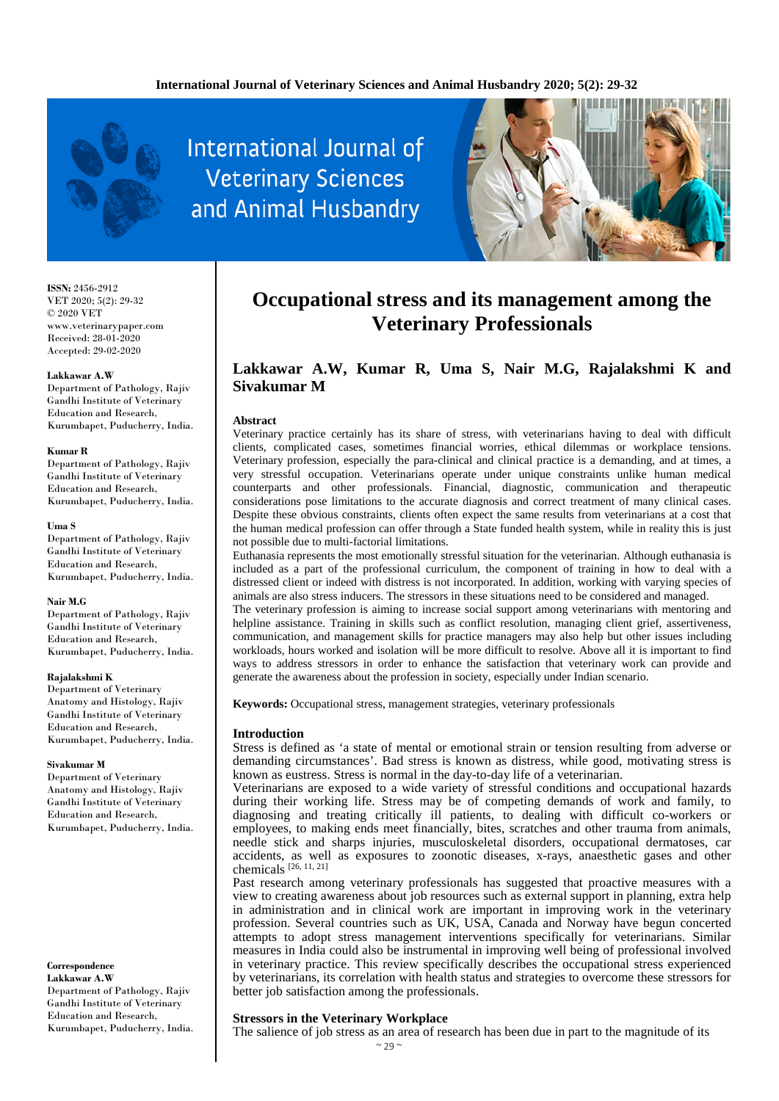

# International Journal of **Veterinary Sciences** and Animal Husbandry



**ISSN:** 2456-2912 VET 2020; 5(2): 29-32 © 2020 VET www.veterinarypaper.com Received: 28-01-2020 Accepted: 29-02-2020

### **Lakkawar A.W**

Department of Pathology, Rajiv Gandhi Institute of Veterinary Education and Research, Kurumbapet, Puducherry, India.

### **Kumar R**

Department of Pathology, Rajiv Gandhi Institute of Veterinary Education and Research, Kurumbapet, Puducherry, India.

### **Uma S**

Department of Pathology, Rajiv Gandhi Institute of Veterinary Education and Research, Kurumbapet, Puducherry, India.

### **Nair M.G**

Department of Pathology, Rajiv Gandhi Institute of Veterinary Education and Research, Kurumbapet, Puducherry, India.

### **Rajalakshmi K**

Department of Veterinary Anatomy and Histology, Rajiv Gandhi Institute of Veterinary Education and Research, Kurumbapet, Puducherry, India.

#### **Sivakumar M**

Department of Veterinary Anatomy and Histology, Rajiv Gandhi Institute of Veterinary Education and Research, Kurumbapet, Puducherry, India.

### **Correspondence**

**Lakkawar A.W** Department of Pathology, Rajiv Gandhi Institute of Veterinary Education and Research, Kurumbapet, Puducherry, India.

## **Occupational stress and its management among the Veterinary Professionals**

### **Lakkawar A.W, Kumar R, Uma S, Nair M.G, Rajalakshmi K and Sivakumar M**

### **Abstract**

Veterinary practice certainly has its share of stress, with veterinarians having to deal with difficult clients, complicated cases, sometimes financial worries, ethical dilemmas or workplace tensions. Veterinary profession, especially the para-clinical and clinical practice is a demanding, and at times, a very stressful occupation. Veterinarians operate under unique constraints unlike human medical counterparts and other professionals. Financial, diagnostic, communication and therapeutic considerations pose limitations to the accurate diagnosis and correct treatment of many clinical cases. Despite these obvious constraints, clients often expect the same results from veterinarians at a cost that the human medical profession can offer through a State funded health system, while in reality this is just not possible due to multi-factorial limitations.

Euthanasia represents the most emotionally stressful situation for the veterinarian. Although euthanasia is included as a part of the professional curriculum, the component of training in how to deal with a distressed client or indeed with distress is not incorporated. In addition, working with varying species of animals are also stress inducers. The stressors in these situations need to be considered and managed.

The veterinary profession is aiming to increase social support among veterinarians with mentoring and helpline assistance. Training in skills such as conflict resolution, managing client grief, assertiveness, communication, and management skills for practice managers may also help but other issues including workloads, hours worked and isolation will be more difficult to resolve. Above all it is important to find ways to address stressors in order to enhance the satisfaction that veterinary work can provide and generate the awareness about the profession in society, especially under Indian scenario.

**Keywords:** Occupational stress, management strategies, veterinary professionals

### **Introduction**

Stress is defined as 'a state of mental or emotional strain or tension resulting from adverse or demanding circumstances'. Bad stress is known as distress, while good, motivating stress is known as eustress. Stress is normal in the day-to-day life of a veterinarian.

Veterinarians are exposed to a wide variety of stressful conditions and occupational hazards during their working life. Stress may be of competing demands of work and family, to diagnosing and treating critically ill patients, to dealing with difficult co-workers or employees, to making ends meet financially, bites, scratches and other trauma from animals, needle stick and sharps injuries, musculoskeletal disorders, occupational dermatoses, car accidents, as well as exposures to zoonotic diseases, x-rays, anaesthetic gases and other chemicals  $\overline{[26, 11, 21]}$ 

Past research among veterinary professionals has suggested that proactive measures with a view to creating awareness about job resources such as external support in planning, extra help in administration and in clinical work are important in improving work in the veterinary profession. Several countries such as UK, USA, Canada and Norway have begun concerted attempts to adopt stress management interventions specifically for veterinarians. Similar measures in India could also be instrumental in improving well being of professional involved in veterinary practice. This review specifically describes the occupational stress experienced by veterinarians, its correlation with health status and strategies to overcome these stressors for better job satisfaction among the professionals.

### **Stressors in the Veterinary Workplace**

The salience of job stress as an area of research has been due in part to the magnitude of its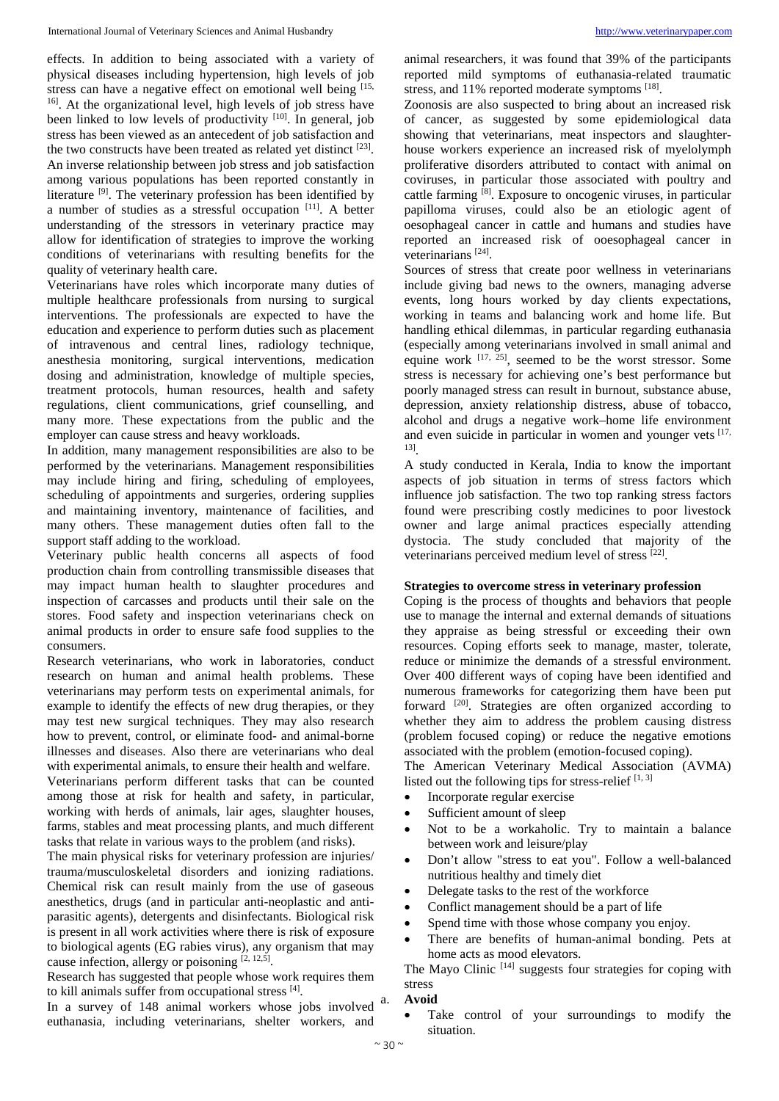effects. In addition to being associated with a variety of physical diseases including hypertension, high levels of job stress can have a negative effect on emotional well being [15, <sup>16]</sup>. At the organizational level, high levels of job stress have been linked to low levels of productivity  $[10]$ . In general, job stress has been viewed as an antecedent of job satisfaction and the two constructs have been treated as related yet distinct [23]. An inverse relationship between job stress and job satisfaction among various populations has been reported constantly in literature [9]. The veterinary profession has been identified by a number of studies as a stressful occupation [11]. A better understanding of the stressors in veterinary practice may allow for identification of strategies to improve the working conditions of veterinarians with resulting benefits for the quality of veterinary health care.

Veterinarians have roles which incorporate many duties of multiple healthcare professionals from nursing to surgical interventions. The professionals are expected to have the education and experience to perform duties such as placement of intravenous and central lines, radiology technique, anesthesia monitoring, surgical interventions, medication dosing and administration, knowledge of multiple species, treatment protocols, human resources, health and safety regulations, client communications, grief counselling, and many more. These expectations from the public and the employer can cause stress and heavy workloads.

In addition, many management responsibilities are also to be performed by the veterinarians. Management responsibilities may include hiring and firing, scheduling of employees, scheduling of appointments and surgeries, ordering supplies and maintaining inventory, maintenance of facilities, and many others. These management duties often fall to the support staff adding to the workload.

Veterinary public health concerns all aspects of food production chain from controlling transmissible diseases that may impact human health to slaughter procedures and inspection of carcasses and products until their sale on the stores. Food safety and inspection veterinarians check on animal products in order to ensure safe food supplies to the consumers.

Research veterinarians, who work in laboratories, conduct research on human and animal health problems. These veterinarians may perform tests on experimental animals, for example to identify the effects of new drug therapies, or they may test new surgical techniques. They may also research how to prevent, control, or eliminate food- and animal-borne illnesses and diseases. Also there are veterinarians who deal with experimental animals, to ensure their health and welfare. Veterinarians perform different tasks that can be counted among those at risk for health and safety, in particular, working with herds of animals, lair ages, slaughter houses, farms, stables and meat processing plants, and much different tasks that relate in various ways to the problem (and risks).

The main physical risks for veterinary profession are injuries/ trauma/musculoskeletal disorders and ionizing radiations. Chemical risk can result mainly from the use of gaseous anesthetics, drugs (and in particular anti-neoplastic and antiparasitic agents), detergents and disinfectants. Biological risk is present in all work activities where there is risk of exposure to biological agents (EG rabies virus), any organism that may cause infection, allergy or poisoning  $\left[2, 12, 5\right]$ .

Research has suggested that people whose work requires them to kill animals suffer from occupational stress [4].

In a survey of 148 animal workers whose jobs involved <sup>a.</sup> euthanasia, including veterinarians, shelter workers, and

animal researchers, it was found that 39% of the participants reported mild symptoms of euthanasia-related traumatic stress, and 11% reported moderate symptoms [18].

Zoonosis are also suspected to bring about an increased risk of cancer, as suggested by some epidemiological data showing that veterinarians, meat inspectors and slaughterhouse workers experience an increased risk of myelolymph proliferative disorders attributed to contact with animal on coviruses, in particular those associated with poultry and cattle farming [8]. Exposure to oncogenic viruses, in particular papilloma viruses, could also be an etiologic agent of oesophageal cancer in cattle and humans and studies have reported an increased risk of ooesophageal cancer in veterinarians<sup>[24]</sup>.

Sources of stress that create poor wellness in veterinarians include giving bad news to the owners, managing adverse events, long hours worked by day clients expectations, working in teams and balancing work and home life. But handling ethical dilemmas, in particular regarding euthanasia (especially among veterinarians involved in small animal and equine work  $[17, 25]$ , seemed to be the worst stressor. Some stress is necessary for achieving one's best performance but poorly managed stress can result in burnout, substance abuse, depression, anxiety relationship distress, abuse of tobacco, alcohol and drugs a negative work–home life environment and even suicide in particular in women and younger vets  $[17, 12]$ 13].

A study conducted in Kerala, India to know the important aspects of job situation in terms of stress factors which influence job satisfaction. The two top ranking stress factors found were prescribing costly medicines to poor livestock owner and large animal practices especially attending dystocia. The study concluded that majority of the veterinarians perceived medium level of stress [22].

### **Strategies to overcome stress in veterinary profession**

Coping is the process of thoughts and behaviors that people use to manage the internal and external demands of situations they appraise as being stressful or exceeding their own resources. Coping efforts seek to manage, master, tolerate, reduce or minimize the demands of a stressful environment. Over 400 different ways of coping have been identified and numerous frameworks for categorizing them have been put forward <sup>[20]</sup>. Strategies are often organized according to whether they aim to address the problem causing distress (problem focused coping) or reduce the negative emotions associated with the problem (emotion-focused coping).

The American Veterinary Medical Association (AVMA) listed out the following tips for stress-relief  $[1, 3]$ 

- Incorporate regular exercise
- Sufficient amount of sleep
- Not to be a workaholic. Try to maintain a balance between work and leisure/play
- Don't allow "stress to eat you". Follow a well-balanced nutritious healthy and timely diet
- Delegate tasks to the rest of the workforce
- Conflict management should be a part of life
- Spend time with those whose company you enjoy.
- There are benefits of human-animal bonding. Pets at home acts as mood elevators.

The Mayo Clinic  $[14]$  suggests four strategies for coping with stress

### a. **Avoid**

Take control of your surroundings to modify the situation.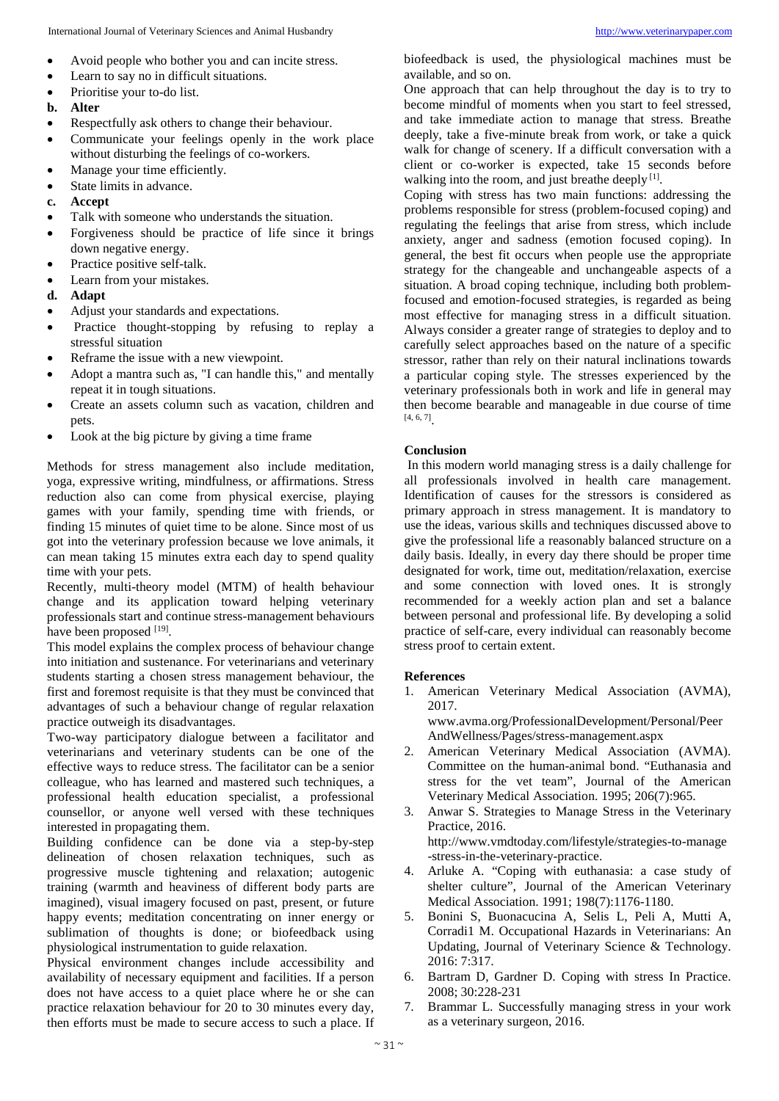- Avoid people who bother you and can incite stress.
- Learn to say no in difficult situations.
- Prioritise your to-do list.
- **b. Alter**
- Respectfully ask others to change their behaviour.
- Communicate your feelings openly in the work place without disturbing the feelings of co-workers.
- Manage your time efficiently.
- State limits in advance.
- **c. Accept**
- Talk with someone who understands the situation.
- Forgiveness should be practice of life since it brings down negative energy.
- Practice positive self-talk.
- Learn from your mistakes.
- **d. Adapt**
- Adjust your standards and expectations.
- Practice thought-stopping by refusing to replay a stressful situation
- Reframe the issue with a new viewpoint.
- Adopt a mantra such as, "I can handle this," and mentally repeat it in tough situations.
- Create an assets column such as vacation, children and pets.
- Look at the big picture by giving a time frame

Methods for stress management also include meditation, yoga, expressive writing, mindfulness, or affirmations. Stress reduction also can come from physical exercise, playing games with your family, spending time with friends, or finding 15 minutes of quiet time to be alone. Since most of us got into the veterinary profession because we love animals, it can mean taking 15 minutes extra each day to spend quality time with your pets.

Recently, multi-theory model (MTM) of health behaviour change and its application toward helping veterinary professionals start and continue stress-management behaviours have been proposed [19].

This model explains the complex process of behaviour change into initiation and sustenance. For veterinarians and veterinary students starting a chosen stress management behaviour, the first and foremost requisite is that they must be convinced that advantages of such a behaviour change of regular relaxation practice outweigh its disadvantages.

Two-way participatory dialogue between a facilitator and veterinarians and veterinary students can be one of the effective ways to reduce stress. The facilitator can be a senior colleague, who has learned and mastered such techniques, a professional health education specialist, a professional counsellor, or anyone well versed with these techniques interested in propagating them.

Building confidence can be done via a step-by-step delineation of chosen relaxation techniques, such as progressive muscle tightening and relaxation; autogenic training (warmth and heaviness of different body parts are imagined), visual imagery focused on past, present, or future happy events; meditation concentrating on inner energy or sublimation of thoughts is done; or biofeedback using physiological instrumentation to guide relaxation.

Physical environment changes include accessibility and availability of necessary equipment and facilities. If a person does not have access to a quiet place where he or she can practice relaxation behaviour for 20 to 30 minutes every day, then efforts must be made to secure access to such a place. If

biofeedback is used, the physiological machines must be available, and so on.

One approach that can help throughout the day is to try to become mindful of moments when you start to feel stressed, and take immediate action to manage that stress. Breathe deeply, take a five-minute break from work, or take a quick walk for change of scenery. If a difficult conversation with a client or co-worker is expected, take 15 seconds before walking into the room, and just breathe deeply  $[1]$ .

Coping with stress has two main functions: addressing the problems responsible for stress (problem-focused coping) and regulating the feelings that arise from stress, which include anxiety, anger and sadness (emotion focused coping). In general, the best fit occurs when people use the appropriate strategy for the changeable and unchangeable aspects of a situation. A broad coping technique, including both problemfocused and emotion-focused strategies, is regarded as being most effective for managing stress in a difficult situation. Always consider a greater range of strategies to deploy and to carefully select approaches based on the nature of a specific stressor, rather than rely on their natural inclinations towards a particular coping style. The stresses experienced by the veterinary professionals both in work and life in general may then become bearable and manageable in due course of time [4, 6, 7] .

### **Conclusion**

In this modern world managing stress is a daily challenge for all professionals involved in health care management. Identification of causes for the stressors is considered as primary approach in stress management. It is mandatory to use the ideas, various skills and techniques discussed above to give the professional life a reasonably balanced structure on a daily basis. Ideally, in every day there should be proper time designated for work, time out, meditation/relaxation, exercise and some connection with loved ones. It is strongly recommended for a weekly action plan and set a balance between personal and professional life. By developing a solid practice of self-care, every individual can reasonably become stress proof to certain extent.

### **References**

1. American Veterinary Medical Association (AVMA), 2017. www.avma.org/ProfessionalDevelopment/Personal/Peer

AndWellness/Pages/stress-management.aspx

- 2. American Veterinary Medical Association (AVMA). Committee on the human-animal bond. "Euthanasia and stress for the vet team", Journal of the American Veterinary Medical Association. 1995; 206(7):965.
- 3. Anwar S. Strategies to Manage Stress in the Veterinary Practice, 2016. http://www.vmdtoday.com/lifestyle/strategies-to-manage -stress-in-the-veterinary-practice.
- 4. Arluke A. "Coping with euthanasia: a case study of shelter culture", Journal of the American Veterinary Medical Association. 1991; 198(7):1176-1180.
- 5. Bonini S, Buonacucina A, Selis L, Peli A, Mutti A, Corradi1 M. Occupational Hazards in Veterinarians: An Updating, Journal of Veterinary Science & Technology. 2016: 7:317.
- 6. Bartram D, Gardner D. Coping with stress In Practice. 2008; 30:228-231
- 7. Brammar L. Successfully managing stress in your work as a veterinary surgeon, 2016.